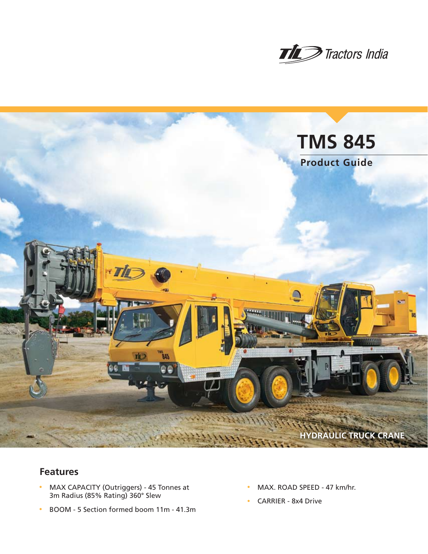



# **Features**

- MAX CAPACITY (Outriggers) 45 Tonnes at 3m Radius (85% Rating) 360° Slew
- BOOM 5 Section formed boom 11m 41.3m
- MAX. ROAD SPEED 47 km/hr.
- CARRIER 8x4 Drive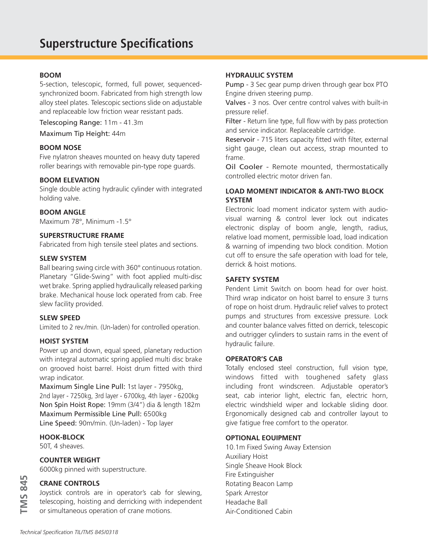### **BOOM**

5-section, telescopic, formed, full power, sequencedsynchronized boom. Fabricated from high strength low alloy steel plates. Telescopic sections slide on adjustable and replaceable low friction wear resistant pads.

Telescoping Range: 11m - 41.3m

Maximum Tip Height: 44m

#### **BOOM NOSE**

Five nylatron sheaves mounted on heavy duty tapered roller bearings with removable pin-type rope guards.

#### **BOOM ELEVATION**

Single double acting hydraulic cylinder with integrated holding valve.

#### **BOOM ANGLE**

Maximum 78°, Minimum -1.5°

# **SUPERSTRUCTURE FRAME**

Fabricated from high tensile steel plates and sections.

#### **SLEW SYSTEM**

Ball bearing swing circle with 360° continuous rotation. Planetary "Glide-Swing" with foot applied multi-disc wet brake. Spring applied hydraulically released parking brake. Mechanical house lock operated from cab. Free slew facility provided.

#### **SLEW SPEED**

Limited to 2 rev./min. (Un-laden) for controlled operation.

#### **HOIST SYSTEM**

Power up and down, equal speed, planetary reduction with integral automatic spring applied multi disc brake on grooved hoist barrel. Hoist drum fitted with third wrap indicator.

Maximum Single Line Pull: 1st layer - 7950kg, 2nd layer - 7250kg, 3rd layer - 6700kg, 4th layer - 6200kg Non Spin Hoist Rope: 19mm (3/4") dia & length 182m Maximum Permissible Line Pull: 6500kg Line Speed: 90m/min. (Un-laden) - Top layer

### **HOOK-BLOCK**

50T, 4 sheaves.

#### **COUNTER WEIGHT**

6000kg pinned with superstructure.

### **CRANE CONTROLS**

Joystick controls are in operator's cab for slewing, telescoping, hoisting and derricking with independent or simultaneous operation of crane motions.

#### **HYDRAULIC SYSTEM**

Pump - 3 Sec gear pump driven through gear box PTO Engine driven steering pump.

Valves - 3 nos. Over centre control valves with built-in pressure relief.

Filter - Return line type, full flow with by pass protection and service indicator. Replaceable cartridge.

Reservoir - 715 liters capacity fitted with filter, external sight gauge, clean out access, strap mounted to frame.

Oil Cooler - Remote mounted, thermostatically controlled electric motor driven fan.

### **LOAD MOMENT INDICATOR & ANTI-TWO BLOCK SYSTEM**

Electronic load moment indicator system with audiovisual warning & control lever lock out indicates electronic display of boom angle, length, radius, relative load moment, permissible load, load indication & warning of impending two block condition. Motion cut off to ensure the safe operation with load for tele, derrick & hoist motions.

#### **SAFETY SYSTEM**

Pendent Limit Switch on boom head for over hoist. Third wrap indicator on hoist barrel to ensure 3 turns of rope on hoist drum. Hydraulic relief valves to protect pumps and structures from excessive pressure. Lock and counter balance valves fitted on derrick, telescopic and outrigger cylinders to sustain rams in the event of hydraulic failure.

#### **OPERATOR'S CAB**

Totally enclosed steel construction, full vision type, windows fitted with toughened safety glass including front windscreen. Adjustable operator's seat, cab interior light, electric fan, electric horn, electric windshield wiper and lockable sliding door. Ergonomically designed cab and controller layout to give fatigue free comfort to the operator.

### **OPTIONAL EOUIPMENT**

10.1m Fixed Swing Away Extension Auxiliary Hoist Single Sheave Hook Block Fire Extinguisher Rotating Beacon Lamp Spark Arrestor Headache Ball Air-Conditioned Cabin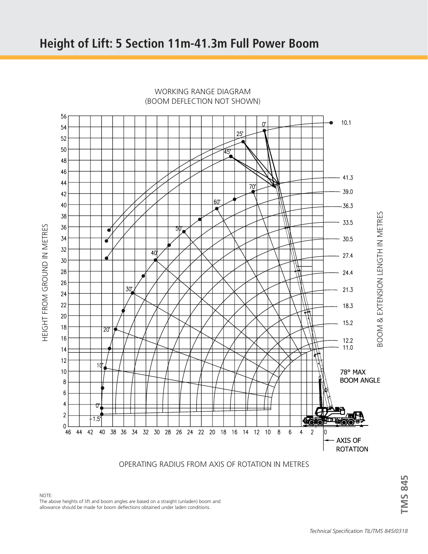

WORKING RANGE DIAGRAM (BOOM DEFLECTION NOT SHOWN)

OPERATING RADIUS FROM AXIS OF ROTATION IN METRES

**IMS 845 TMS 845**

NOTE: The above heights of lift and boom angles are based on a straight (unladen) boom and allowance should be made for boom deflections obtained under laden conditions.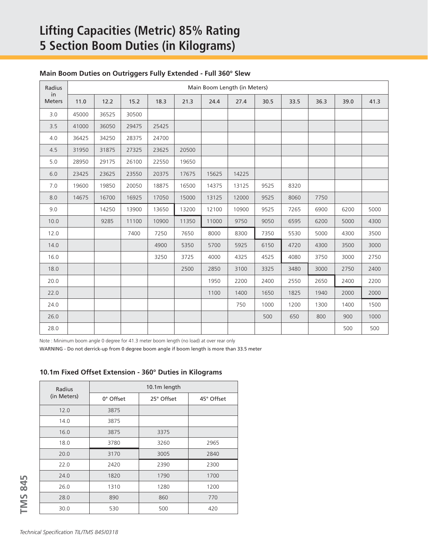# **Lifting Capacities (Metric) 85% Rating 5 Section Boom Duties (in Kilograms)**

|  | Main Boom Duties on Outriggers Fully Extended - Full 360° Slew |  |  |
|--|----------------------------------------------------------------|--|--|
|  |                                                                |  |  |

| Radius        | Main Boom Length (in Meters)<br>in |       |       |       |       |       |       |      |      |      |      |      |
|---------------|------------------------------------|-------|-------|-------|-------|-------|-------|------|------|------|------|------|
| <b>Meters</b> | 11.0                               | 12.2  | 15.2  | 18.3  | 21.3  | 24.4  | 27.4  | 30.5 | 33.5 | 36.3 | 39.0 | 41.3 |
| 3.0           | 45000                              | 36525 | 30500 |       |       |       |       |      |      |      |      |      |
| 3.5           | 41000                              | 36050 | 29475 | 25425 |       |       |       |      |      |      |      |      |
| 4.0           | 36425                              | 34250 | 28375 | 24700 |       |       |       |      |      |      |      |      |
| 4.5           | 31950                              | 31875 | 27325 | 23625 | 20500 |       |       |      |      |      |      |      |
| 5.0           | 28950                              | 29175 | 26100 | 22550 | 19650 |       |       |      |      |      |      |      |
| 6.0           | 23425                              | 23625 | 23550 | 20375 | 17675 | 15625 | 14225 |      |      |      |      |      |
| 7.0           | 19600                              | 19850 | 20050 | 18875 | 16500 | 14375 | 13125 | 9525 | 8320 |      |      |      |
| 8.0           | 14675                              | 16700 | 16925 | 17050 | 15000 | 13125 | 12000 | 9525 | 8060 | 7750 |      |      |
| 9.0           |                                    | 14250 | 13900 | 13650 | 13200 | 12100 | 10900 | 9525 | 7265 | 6900 | 6200 | 5000 |
| 10.0          |                                    | 9285  | 11100 | 10900 | 11350 | 11000 | 9750  | 9050 | 6595 | 6200 | 5000 | 4300 |
| 12.0          |                                    |       | 7400  | 7250  | 7650  | 8000  | 8300  | 7350 | 5530 | 5000 | 4300 | 3500 |
| 14.0          |                                    |       |       | 4900  | 5350  | 5700  | 5925  | 6150 | 4720 | 4300 | 3500 | 3000 |
| 16.0          |                                    |       |       | 3250  | 3725  | 4000  | 4325  | 4525 | 4080 | 3750 | 3000 | 2750 |
| 18.0          |                                    |       |       |       | 2500  | 2850  | 3100  | 3325 | 3480 | 3000 | 2750 | 2400 |
| 20.0          |                                    |       |       |       |       | 1950  | 2200  | 2400 | 2550 | 2650 | 2400 | 2200 |
| 22.0          |                                    |       |       |       |       | 1100  | 1400  | 1650 | 1825 | 1940 | 2000 | 2000 |
| 24.0          |                                    |       |       |       |       |       | 750   | 1000 | 1200 | 1300 | 1400 | 1500 |
| 26.0          |                                    |       |       |       |       |       |       | 500  | 650  | 800  | 900  | 1000 |
| 28.0          |                                    |       |       |       |       |       |       |      |      |      | 500  | 500  |

Note : Minimum boom angle 0 degree for 41.3 meter boom length (no load) at over rear only

WARNING - Do not derrick-up from 0 degree boom angle if boom length is more than 33.5 meter

### **10.1m Fixed Offset Extension - 360° Duties in Kilograms**

| Radius      | 10.1m length |            |            |  |  |  |  |  |
|-------------|--------------|------------|------------|--|--|--|--|--|
| (in Meters) | 0° Offset    | 25° Offset | 45° Offset |  |  |  |  |  |
| 12.0        | 3875         |            |            |  |  |  |  |  |
| 14.0        | 3875         |            |            |  |  |  |  |  |
| 16.0        | 3875         | 3375       |            |  |  |  |  |  |
| 18.0        | 3780         | 3260       | 2965       |  |  |  |  |  |
| 20.0        | 3170         | 3005       | 2840       |  |  |  |  |  |
| 22.0        | 2420         | 2390       | 2300       |  |  |  |  |  |
| 24.0        | 1820         | 1790       | 1700       |  |  |  |  |  |
| 26.0        | 1310         | 1280       | 1200       |  |  |  |  |  |
| 28.0        | 890          | 860        | 770        |  |  |  |  |  |
| 30.0        | 530          | 500        | 420        |  |  |  |  |  |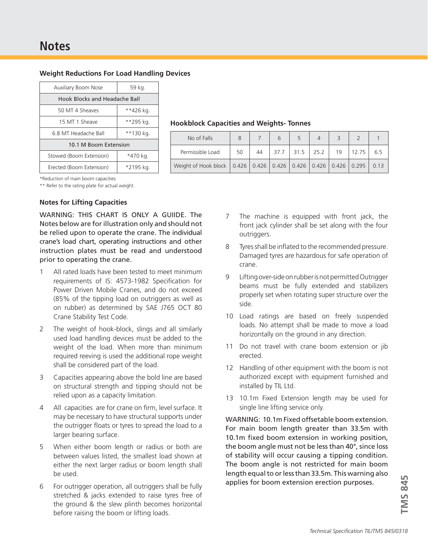| <b>Weight Reductions For Load Handling Devices</b> |  |  |  |  |
|----------------------------------------------------|--|--|--|--|
|----------------------------------------------------|--|--|--|--|

| <b>Auxiliary Boom Nose</b>    | 59 kg.    |  |  |  |  |  |  |
|-------------------------------|-----------|--|--|--|--|--|--|
| Hook Blocks and Headache Ball |           |  |  |  |  |  |  |
| 50 MT 4 Sheaves               | **426 kg. |  |  |  |  |  |  |
| 15 MT 1 Sheave                | **295 kg. |  |  |  |  |  |  |
| 6.8 MT Headache Ball          | **130 kg. |  |  |  |  |  |  |
| 10.1 M Boom Extension         |           |  |  |  |  |  |  |
| Stowed (Boom Extension)       | *470 kg.  |  |  |  |  |  |  |
| Erected (Boom Extension)      | *2195 kg. |  |  |  |  |  |  |

### **Hookblock Capacities and Weights- Tonnes**

| No of Falls                                                                         |    |    |      |           |    |       |     |
|-------------------------------------------------------------------------------------|----|----|------|-----------|----|-------|-----|
| Permissible Load                                                                    | 50 | 44 | 37.7 | 31.5 25.2 | 19 | 12.75 | 6.5 |
| Weight of Hook block   0.426   0.426   0.426   0.426   0.426   0.426   0.295   0.13 |    |    |      |           |    |       |     |

\*Reduction of main boom capacities

\*\* Refer to the rating plate for actual weight.

### **Notes for Lifting Capacities**

WARNING: THIS CHART IS ONLY A GUIIDE. The Notes below are for illustration only and should not be relied upon to operate the crane. The individual crane's load chart, operating instructions and other instruction plates must be read and understood prior to operating the crane.

- 1 All rated loads have been tested to meet minimum requirements of IS: 4573-1982 Specification for Power Driven Mobile Cranes, and do not exceed (85% of the tipping load on outriggers as well as on rubber) as determined by SAE J765 OCT 80 Crane Stability Test Code.
- 2 The weight of hook-block, slings and all similarly used load handling devices must be added to the weight of the load. When more than minimum required reeving is used the additional rope weight shall be considered part of the load.
- 3 Capacities appearing above the bold line are based on structural strength and tipping should not be relied upon as a capacity limitation.
- 4 All capacities are for crane on firm, level surface. It may be necessary to have structural supports under the outrigger floats or tyres to spread the load to a larger bearing surface.
- 5 When either boom length or radius or both are between values listed, the smallest load shown at either the next larger radius or boom length shall be used.
- 6 For outrigger operation, all outriggers shall be fully stretched & jacks extended to raise tyres free of the ground & the slew plinth becomes horizontal before raising the boom or lifting loads.
- 7 The machine is equipped with front jack, the front jack cylinder shall be set along with the four outriggers.
- 8 Tyres shall be inflated to the recommended pressure. Damaged tyres are hazardous for safe operation of crane.
- 9 Lifting over-side on rubber is not permitted Outrigger beams must be fully extended and stabilizers properly set when rotating super structure over the side.
- 10 Load ratings are based on freely suspended loads. No attempt shall be made to move a load horizontally on the ground in any direction.
- 11 Do not travel with crane boom extension or jib erected.
- 12 Handling of other equipment with the boom is not authorized except with equipment furnished and installed by TIL Ltd.
- 13 10.1m Fixed Extension length may be used for single line lifting service only.

WARNING: 10.1m Fixed offsetable boom extension. For main boom length greater than 33.5m with 10.1m fixed boom extension in working position, the boom angle must not be less than 40°, since loss of stability will occur causing a tipping condition. The boom angle is not restricted for main boom length equal to or less than 33.5m. This warning also applies for boom extension erection purposes.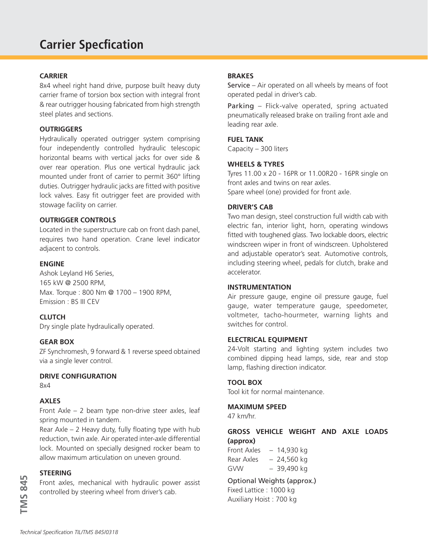# **CARRIER**

8x4 wheel right hand drive, purpose built heavy duty carrier frame of torsion box section with integral front & rear outrigger housing fabricated from high strength steel plates and sections.

### **OUTRIGGERS**

Hydraulically operated outrigger system comprising four independently controlled hydraulic telescopic horizontal beams with vertical jacks for over side & over rear operation. Plus one vertical hydraulic jack mounted under front of carrier to permit 360° lifting duties. Outrigger hydraulic jacks are fitted with positive lock valves. Easy fit outrigger feet are provided with stowage facility on carrier.

# **OUTRIGGER CONTROLS**

Located in the superstructure cab on front dash panel, requires two hand operation. Crane level indicator adjacent to controls.

### **ENGINE**

Ashok Leyland H6 Series, 165 kW @ 2500 RPM, Max. Torque : 800 Nm @ 1700 – 1900 RPM, Emission : BS III CEV

# **CLUTCH**

Dry single plate hydraulically operated.

### **GEAR BOX**

ZF Synchromesh, 9 forward & 1 reverse speed obtained via a single lever control.

### **DRIVE CONFIGURATION**

8x4

### **AXLES**

Front Axle – 2 beam type non-drive steer axles, leaf spring mounted in tandem.

Rear Axle – 2 Heavy duty, fully floating type with hub reduction, twin axle. Air operated inter-axle differential lock. Mounted on specially designed rocker beam to allow maximum articulation on uneven ground.

# **STEERING**

Front axles, mechanical with hydraulic power assist controlled by steering wheel from driver's cab.

# **BRAKES**

Service – Air operated on all wheels by means of foot operated pedal in driver's cab.

Parking – Flick-valve operated, spring actuated pneumatically released brake on trailing front axle and leading rear axle.

# **FUEL TANK**

Capacity – 300 liters

### **WHEELS & TYRES**

Tyres 11.00 x 20 - 16PR or 11.00R20 - 16PR single on front axles and twins on rear axles. Spare wheel (one) provided for front axle.

### **DRIVER'S CAB**

Two man design, steel construction full width cab with electric fan, interior light, horn, operating windows fitted with toughened glass. Two lockable doors, electric windscreen wiper in front of windscreen. Upholstered and adjustable operator's seat. Automotive controls, including steering wheel, pedals for clutch, brake and accelerator.

### **INSTRUMENTATION**

Air pressure gauge, engine oil pressure gauge, fuel gauge, water temperature gauge, speedometer, voltmeter, tacho-hourmeter, warning lights and switches for control.

### **ELECTRICAL EQUIPMENT**

24-Volt starting and lighting system includes two combined dipping head lamps, side, rear and stop lamp, flashing direction indicator.

### **TOOL BOX**

Tool kit for normal maintenance.

#### **MAXIMUM SPEED**

47 km/hr.

# **GROSS VEHICLE WEIGHT AND AXLE LOADS (approx)**

Front Axles – 14,930 kg Rear Axles  $-24,560$  kg GVW – 39,490 kg

Optional Weights (approx.) Fixed Lattice : 1000 kg Auxiliary Hoist : 700 kg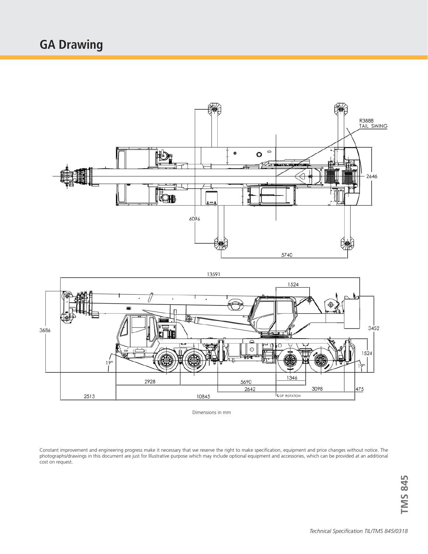



Dimensions in mm

10845

5690

2642

2928

2513

1346

E OF ROTATION

3098

 $475$